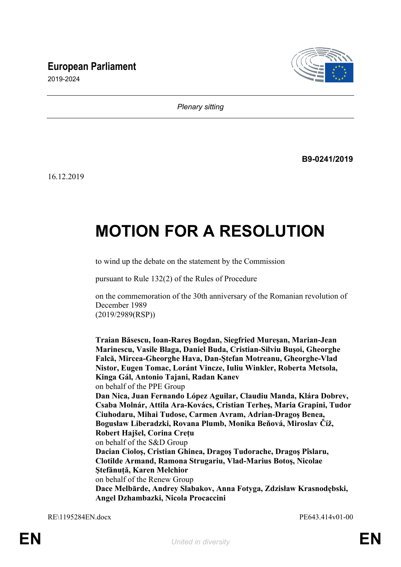## **European Parliament**



2019-2024

*Plenary sitting*

**B9-0241/2019**

16.12.2019

# **MOTION FOR A RESOLUTION**

to wind up the debate on the statement by the Commission

pursuant to Rule 132(2) of the Rules of Procedure

on the commemoration of the 30th anniversary of the Romanian revolution of December 1989 (2019/2989(RSP))

**Traian Băsescu, Ioan-Rareş Bogdan, Siegfried Mureşan, Marian-Jean Marinescu, Vasile Blaga, Daniel Buda, Cristian-Silviu Buşoi, Gheorghe Falcă, Mircea-Gheorghe Hava, Dan-Ştefan Motreanu, Gheorghe-Vlad Nistor, Eugen Tomac, Loránt Vincze, Iuliu Winkler, Roberta Metsola, Kinga Gál, Antonio Tajani, Radan Kanev** on behalf of the PPE Group **Dan Nica, Juan Fernando López Aguilar, Claudiu Manda, Klára Dobrev, Csaba Molnár, Attila Ara-Kovács, Cristian Terheş, Maria Grapini, Tudor Ciuhodaru, Mihai Tudose, Carmen Avram, Adrian-Dragoş Benea, Bogusław Liberadzki, Rovana Plumb, Monika Beňová, Miroslav Číž, Robert Hajšel, Corina Crețu** on behalf of the S&D Group **Dacian Cioloş, Cristian Ghinea, Dragoş Tudorache, Dragoş Pîslaru, Clotilde Armand, Ramona Strugariu, Vlad-Marius Botoş, Nicolae Ştefănuță, Karen Melchior** on behalf of the Renew Group **Dace Melbārde, Andrey Slabakov, Anna Fotyga, Zdzisław Krasnodębski, Angel Dzhambazki, Nicola Procaccini**

RE\1195284EN.docx PE643.414v01-00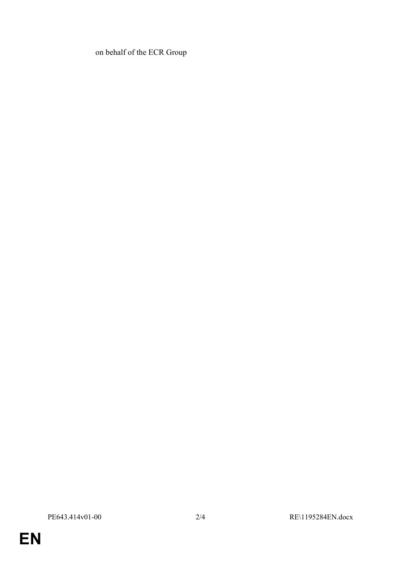on behalf of the ECR Group

**EN**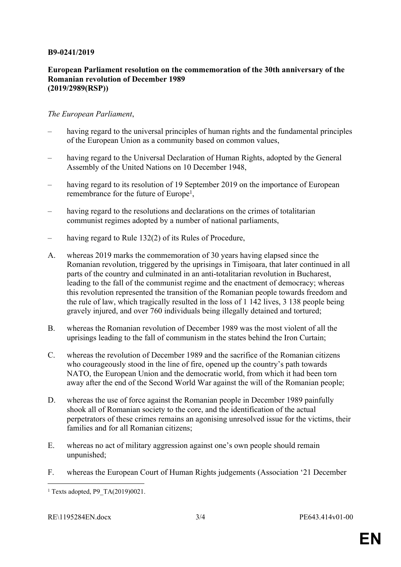### **B9-0241/2019**

#### **European Parliament resolution on the commemoration of the 30th anniversary of the Romanian revolution of December 1989 (2019/2989(RSP))**

### *The European Parliament*,

- having regard to the universal principles of human rights and the fundamental principles of the European Union as a community based on common values,
- having regard to the Universal Declaration of Human Rights, adopted by the General Assembly of the United Nations on 10 December 1948,
- having regard to its resolution of 19 September 2019 on the importance of European remembrance for the future of Europe<sup>1</sup>,
- having regard to the resolutions and declarations on the crimes of totalitarian communist regimes adopted by a number of national parliaments,
- having regard to Rule 132(2) of its Rules of Procedure,
- A. whereas 2019 marks the commemoration of 30 years having elapsed since the Romanian revolution, triggered by the uprisings in Timișoara, that later continued in all parts of the country and culminated in an anti-totalitarian revolution in Bucharest, leading to the fall of the communist regime and the enactment of democracy; whereas this revolution represented the transition of the Romanian people towards freedom and the rule of law, which tragically resulted in the loss of 1 142 lives, 3 138 people being gravely injured, and over 760 individuals being illegally detained and tortured;
- B. whereas the Romanian revolution of December 1989 was the most violent of all the uprisings leading to the fall of communism in the states behind the Iron Curtain;
- C. whereas the revolution of December 1989 and the sacrifice of the Romanian citizens who courageously stood in the line of fire, opened up the country's path towards NATO, the European Union and the democratic world, from which it had been torn away after the end of the Second World War against the will of the Romanian people;
- D. whereas the use of force against the Romanian people in December 1989 painfully shook all of Romanian society to the core, and the identification of the actual perpetrators of these crimes remains an agonising unresolved issue for the victims, their families and for all Romanian citizens;
- E. whereas no act of military aggression against one's own people should remain unpunished;
- F. whereas the European Court of Human Rights judgements (Association '21 December

<sup>1</sup> Texts adopted, P9\_TA(2019)0021.